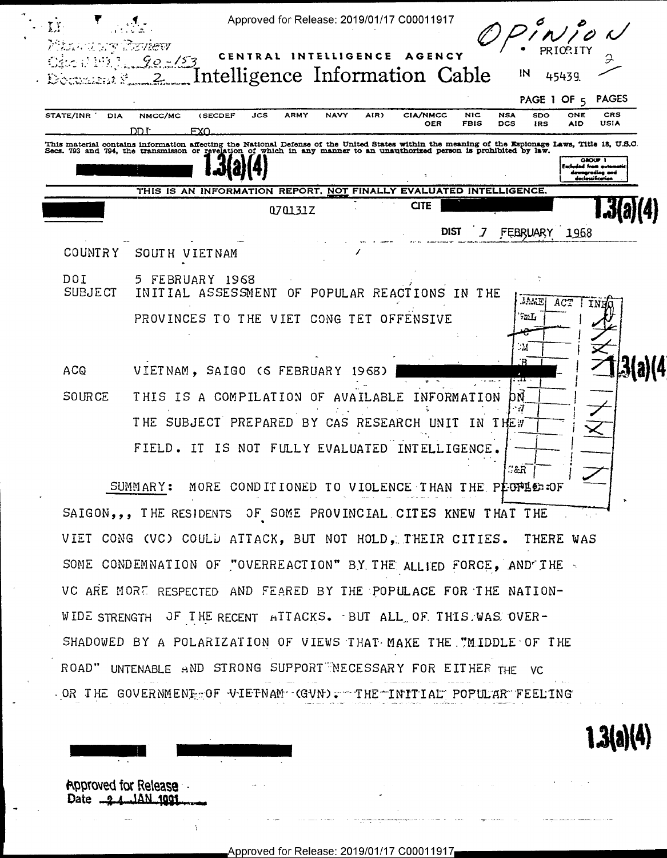| Maan u urg Tieview      | AGENCY<br>CENTRAL<br>INTELLIGENCE<br>$90 - 153$<br>IN                                                                                                                                                                                                                                                         |
|-------------------------|---------------------------------------------------------------------------------------------------------------------------------------------------------------------------------------------------------------------------------------------------------------------------------------------------------------|
|                         | Intelligence Information Cable<br>45439<br>2.<br><b>PAGES</b><br>PAGE 1 OF 5                                                                                                                                                                                                                                  |
| STATE/INR<br><b>DIA</b> | <b>CIA/NMCC</b><br>CRS<br>JCS<br><b>ARMY</b><br><b>NAVY</b><br>AIR)<br><b>NIC</b><br>NMCC/MC<br><b>(SECDEF</b><br><b>NSA</b><br><b>SDO</b><br><b>ONE</b><br><b>USIA</b><br>OER<br><b>FBIS</b><br>DCS<br><b>AID</b><br>IRS<br>DD T-<br><b>FXO</b>                                                              |
|                         | This material contains information affecting the National Defense of the United States within the meaning of the Espionage Laws, Title 18, U.S.O. Secs. 793 and 794, the transmisson or revelation of which in any manner to a<br><b>GROUP</b> 1<br>Excluded from outo<br>downgroding and<br>declessification |
|                         | THIS IS AN INFORMATION REPORT, NOT FINALLY EVALUATED INTELLIGENCE.                                                                                                                                                                                                                                            |
|                         | <b>CITE</b><br>070131Z                                                                                                                                                                                                                                                                                        |
|                         | <b>DIST</b><br>FEBRUARY<br>1968                                                                                                                                                                                                                                                                               |
| COUNTRY                 | SOUT H<br><b>VIETNAM</b>                                                                                                                                                                                                                                                                                      |
| DOI<br><b>SUBJECT</b>   | 5 FEBRUARY 1968<br>INITIAL ASSESSMENT<br>OF POPULAR REACTIONS IN THE<br>$10.5\,\mathrm{K}$<br>ACT<br>ΙN                                                                                                                                                                                                       |
|                         | 92: L<br>PROVINCES TO THE VIET CONG TET<br>OFFENSIVE                                                                                                                                                                                                                                                          |
|                         | - 14                                                                                                                                                                                                                                                                                                          |
| <b>ACQ</b>              | VIETNAM, SAIGO (6 FEBRUARY<br>1968)<br>۰.α                                                                                                                                                                                                                                                                    |
| <b>SOURCE</b>           | THIS<br>IS A COMPILATION OF<br>AVAILABLE<br>ORMATION<br>bŃ<br>TNF                                                                                                                                                                                                                                             |
|                         | - 7<br>SUBJECT PREPARED<br>T HE<br>BY<br>CAS<br>RESEARCH<br>T N<br>THE <sub>:7</sub><br>IINTT                                                                                                                                                                                                                 |
|                         |                                                                                                                                                                                                                                                                                                               |
|                         | FIELD. IT<br>IS NOT FULLY EVALUATED INTELLIGENCE.                                                                                                                                                                                                                                                             |

SUMMARY: MORE CONDITIONED TO VIOLENCE THAN THE PECPLE OF SAIGON,,, THE RESIDENTS OF SOME PROVINCIAL CITES KNEW THAT THE VIET CONG (VC) COULD ATTACK, BUT NOT HOLD, THEIR CITIES. THERE WAS SOME CONDEMNATION OF "OVERREACTION" BY THE ALLIED FORCE, AND THE VC ARE MORE RESPECTED AND FEARED BY THE POPULACE FOR THE NATION-WIDE STRENGTH OF THE RECENT ATTACKS. BUT ALL OF THIS WAS OVER-SHADOWED BY A POLARIZATION OF VIEWS THAT MAKE THE "MIDDLE OF THE ROAD" UNTENABLE AND STRONG SUPPORT NECESSARY FOR EITHER THE **VC** OR THE GOVERNMENT OF VIETNAM GVN). THE INITIAL POPULAR FEELING



1AN 100.

Date  $-2$ 

 $1.3(a)(4)$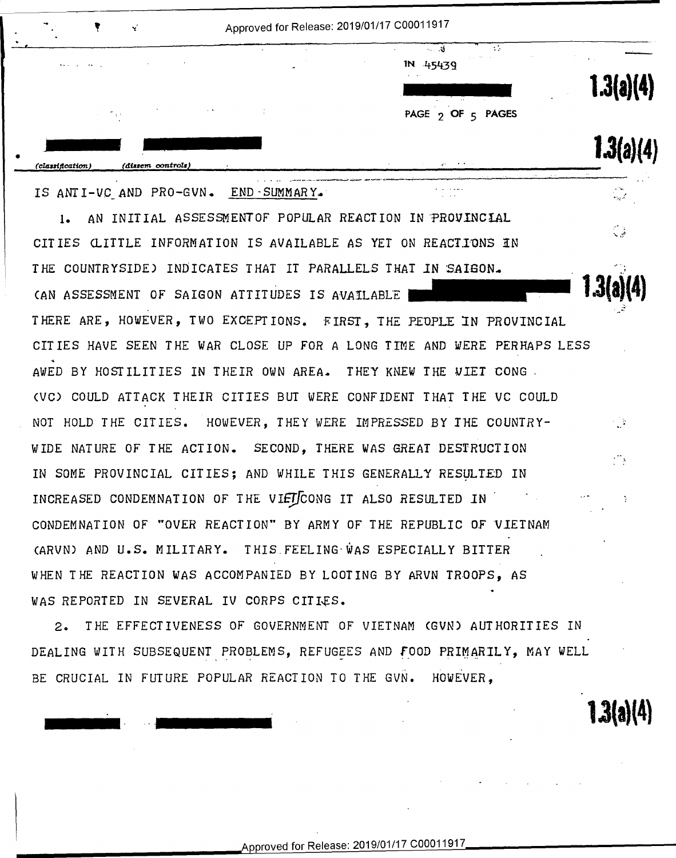| ۰.<br>۰                       | N.                |                                          | Approved for Release: 2019/01/17 C00011917                                                              |                              |
|-------------------------------|-------------------|------------------------------------------|---------------------------------------------------------------------------------------------------------|------------------------------|
| <b>SAN SALES AND A</b>        | $\sim$            |                                          | A.<br>$\bullet$<br>the control of the con-<br>IN 45439<br>$\sim$ $\sim$ $\sim$<br>and the season of the | <b>Contract</b><br>1.3(a)(4) |
|                               | Service Taylor    | $\alpha$ , $\beta$ , $\alpha$ , $\alpha$ | PAGE 2 OF 5 PAGES                                                                                       |                              |
| $\bullet$<br>(classification) | (dissem controls) |                                          | and the state of the state<br>control of the<br><b>Service</b>                                          | 36/4                         |
|                               | $\bullet$         |                                          | the group and control the control                                                                       | $\sim$ $\sim$                |

IS ANTI-VC\_AND PRO-GVN. END~SUMMARY.

1. AN INITIAL ASSESSMENTOF POPULAR REACTION IN PROVINCIAL CITIES CLITTLE INFORMATION IS AVAILABLE AS YET ON REACTIONS IN THE COUNTRYSIDE) INDICATES THAT IT PARALLELS THAT IN SAISON. CAN ASSESSMENT *OF* SAIGON ATTITUDES IS A-V.AILABLE **1.3(a)(4)**  (AN ASSESSMENT OF SAIGON ATTITUDES Is AVAILABLE -13(3)") THERE ARE, HOWEVER, TWO EXCEPTIONS. FIRST, THE PEOPLE IN PROVINCIAL CITIES HAVE SEEN THE WAR CLOSE UP *FOR* A LONG TIME AND WERE PERHAPS LESS CITIES HAVE SEEN THE VAR CLOSE UP FOR A LONG TIME AND MERE PERHAPS LESS AWED BY HOSTILITIES IN THEIR OWN AREA.. THEY KNEW THE *VIET* CONG - AwED BY HOSTILITIES IN THEIR ONN AREA. THEY KNEV THE DIET CONG. CVC) COULD ATTACK THEIR CITIES BUT WERE CONFIDENT THAT THE VC COULD (VC) COULD ATTACH THEIR CITIES BUT NERE CONFIDENT THAT THE VC COULD NOT HOLD THE CITIES. HOWEVER, THEY WERE IMPRESSED BY THE COUNTRY-NOT HOLD THE CITIES. 'HOMEVER, THEY MERE INPRESSED BY THE COUNTRY— WIDE NATURE *OF* THE ACTION. SECOND, THERE WAS GREAT DESTRUCTION MIDE NATURE OF THE ACTION. SECOND, THERE MAS GREAT DESTRUCTION IN SOME PROVINCIAL CITIES; AND WHILE THIS GENERALLY RESULTED IN INCREASED CONDEMNATION OF THE VIEL CONG IT ALSO RESULTED IN CONDEMNATION *OF* "OVER REACT ION" BY ARMY OF THE REPUBLIC O.F VlETNAM CONDEMNATION OF "OVER REACTION" BY ARMY OF THE REPUBLIC OF VIETNAM CARVN) AND U.S. MILITARY. THIS.FEELING-WAS ESPECIALLY BITTER (ARUN) AND U.S. MILITARY. THIS FEELING MAS ESPECIALLY BITTER WHEN THE REACTION WAS ACCOMPANIED BY LOOTING BY ARVN TROOPS, AS WAS REPORTED IN SEVERAL IV CORPS CITIES.

2. THE EFFECTIVENESS OF GOVERNMENT *OF* VIETNAM CGVN) AUTHORITIES IN 2. THE EFFECTIVENESS OF GOVERNMENT OF VIETNAM (GVN) AUTHORITIES IN DEALING WITH SUBSEQUENT PROBLEMS, REFUGEES AND **F**OOD PRIMARILY, MAY WELL . . . . BE CRUCIAL IN FUTURE POPULAR REACTION TO THE GVN. HOWEVER,

\_. .'.\_

**1.3(a)(4) 1.3(a)(4)**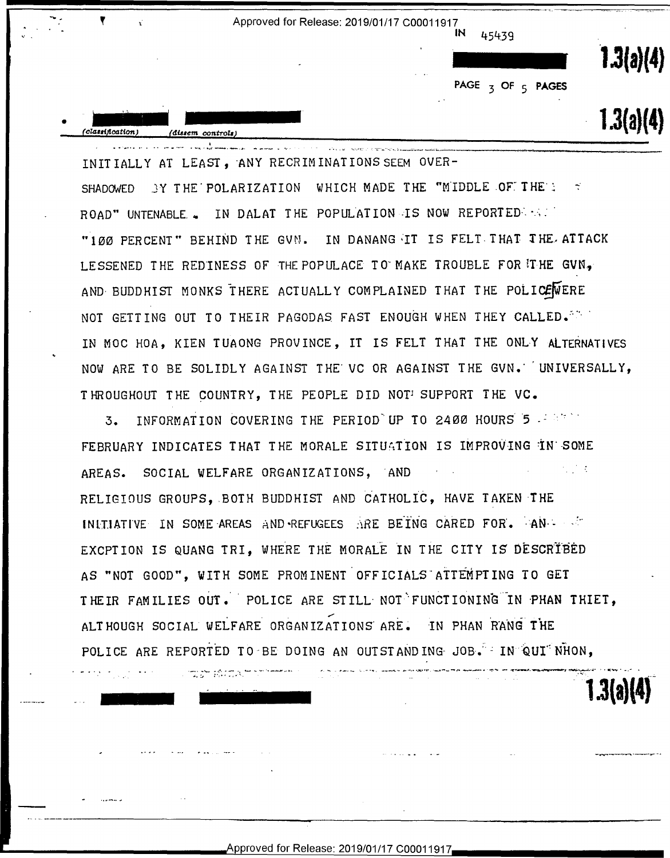

INITIALLY AT LEAST, ANY RECRIMINATIONS SEEM OVER-SHADOWED 3Y THE POLARIZATION WHICH MADE THE "MIDDLE OF THE'S  $\preceq$ ROAD" UNTENABLE . IN DALAT THE POPULATION IS NOW REPORTED . "100 PERCENT" BEHIND THE GVN. IN DANANG IT IS FELT THAT THE ATTACK LESSENED THE REDINESS OF THE POPULACE TO MAKE TROUBLE FOR THE GVN, AND BUDDHIST MONKS THERE ACTUALLY COMPLAINED THAT THE POLICEWERE NOT GETTING OUT TO THEIR PAGODAS FAST ENOUGH WHEN THEY CALLED. A SAMPLE IN MOC HOA, KIEN TUAONG PROVINCE, IT IS FELT THAT THE ONLY ALTERNATIVES NOW ARE TO BE SOLIDLY AGAINST THE VC OR AGAINST THE GVN. UNIVERSALLY, THROUGHOUT THE COUNTRY, THE PEOPLE DID NOT SUPPORT THE VC.

INFORMATION COVERING THE PERIOD UP TO 2400 HOURS 5 - 17  $\overline{3}$ . FEBRUARY INDICATES THAT THE MORALE SITUATION IS IMPROVING IN SOME  $\mathcal{L}^{\text{max}}_{\text{max}}$ AREAS. SOCIAL WELFARE ORGANIZATIONS, AND RELIGIOUS GROUPS, BOTH BUDDHIST AND CATHOLIC, HAVE TAKEN THE INITIATIVE IN SOME AREAS AND REFUGEES ARE BEING CARED FOR. AND SALL EXCPIION IS QUANG TRI, WHERE THE MORALE IN THE CITY IS DESCRIBED AS "NOT GOOD", WITH SOME PROMINENT OFFICIALS ATTEMPTING TO GET THEIR FAMILIES OUT. POLICE ARE STILL NOT FUNCTIONING IN PHAN THIET, ALTHOUGH SOCIAL WELFARE ORGANIZATIONS ARE. IN PHAN RANG THE POLICE ARE REPORTED TO BE DOING AN OUTSTANDING JOB. IN QUI NHON,

 $1.3(a)(4)$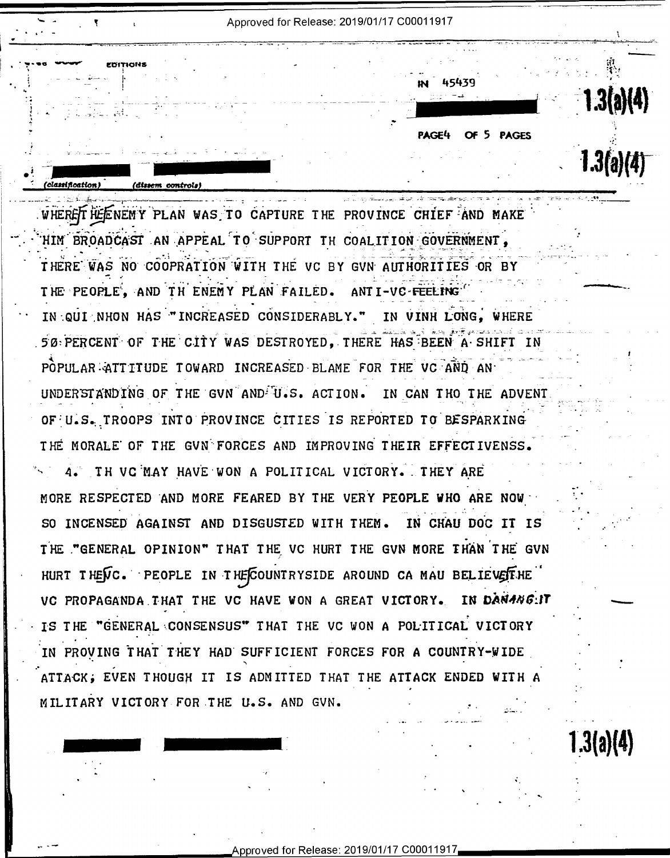Approved for Release: 2019/01/17 C00011917

45439

OF 5 PAGES

 $1.3(a)(4)$ 

 $1.3(a)(4)$ 

PAGE4

WHERE THE NEW PLAN WAS TO CAPTURE THE PROVINCE CHIEF AND MAKE HIM BROADCAST AN APPEAL TO SUPPORT TH COALITION GOVERNMENT. THERE WAS NO COOPRATION WITH THE VC BY GUN AUTHORITIES OR BY THE PEOPLE. AND TH ENEMY PLAN FAILED. ANTI-VC FEELING IN QUI NHON HAS "INCREASED CONSIDERABLY." IN VINH LONG. WHERE 50 PERCENT OF THE CITY WAS DESTROYED. THERE HAS BEEN A SHIFT IN POPULAR ATTITUDE TOWARD INCREASED BLAME FOR THE VC AND AN UNDERSTANDING OF THE GVN AND U.S. ACTION. IN CAN THO THE ADVENT OF U.S. TROOPS INTO PROVINCE CITIES IS REPORTED TO BESPARKING THE MORALE OF THE GVN FORCES AND IMPROVING THEIR EFFECTIVENSS. 4. TH VC MAY HAVE WON A POLITICAL VICTORY. THEY ARE MORE RESPECTED AND MORE FEARED BY THE VERY PEOPLE WHO ARE NOW SO INCENSED AGAINST AND DISGUSTED WITH THEM. IN CHAU DOC IT IS THE "GENERAL OPINION" THAT THE VC HURT THE GVN MORE THAN THE GVN HURT THENC. PEOPLE IN THE COUNTRYSIDE AROUND CA MAU BELIEVESTHE VC PROPAGANDA THAT THE VC HAVE WON A GREAT VICTORY. IN DANANG:IT IS THE "GENERAL CONSENSUS" THAT THE VC WON A POLITICAL VICTORY IN PROVING THAT THEY HAD SUFFICIENT FORCES FOR A COUNTRY-WIDE ATTACK; EVEN THOUGH IT IS ADMITTED THAT THE ATTACK ENDED WITH A MILITARY VICTORY FOR THE U.S. AND GVN.

(classification)

Approved for Release: 2019/01/17 C00011917